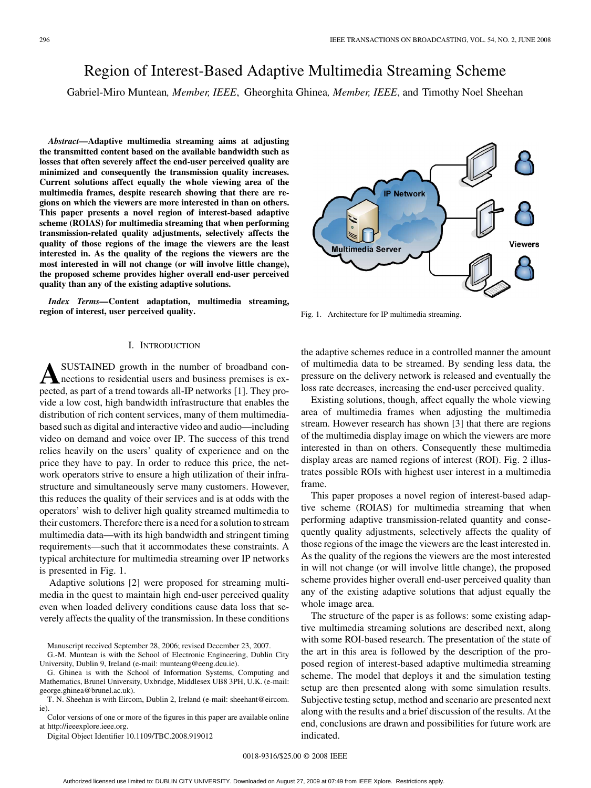# Region of Interest-Based Adaptive Multimedia Streaming Scheme

Gabriel-Miro Muntean*, Member, IEEE*, Gheorghita Ghinea*, Member, IEEE*, and Timothy Noel Sheehan

*Abstract—***Adaptive multimedia streaming aims at adjusting the transmitted content based on the available bandwidth such as losses that often severely affect the end-user perceived quality are minimized and consequently the transmission quality increases. Current solutions affect equally the whole viewing area of the multimedia frames, despite research showing that there are regions on which the viewers are more interested in than on others. This paper presents a novel region of interest-based adaptive scheme (ROIAS) for multimedia streaming that when performing transmission-related quality adjustments, selectively affects the quality of those regions of the image the viewers are the least interested in. As the quality of the regions the viewers are the most interested in will not change (or will involve little change), the proposed scheme provides higher overall end-user perceived quality than any of the existing adaptive solutions.**

*Index Terms—***Content adaptation, multimedia streaming, region of interest, user perceived quality.**

## I. INTRODUCTION

**A**SUSTAINED growth in the number of broadband con-<br>nections to residential users and business premises is ex-<br>neeted as next of a trand towards all IB networks [1]. They are pected, as part of a trend towards all-IP networks [1]. They provide a low cost, high bandwidth infrastructure that enables the distribution of rich content services, many of them multimediabased such as digital and interactive video and audio—including video on demand and voice over IP. The success of this trend relies heavily on the users' quality of experience and on the price they have to pay. In order to reduce this price, the network operators strive to ensure a high utilization of their infrastructure and simultaneously serve many customers. However, this reduces the quality of their services and is at odds with the operators' wish to deliver high quality streamed multimedia to their customers. Therefore there is a need for a solution to stream multimedia data—with its high bandwidth and stringent timing requirements—such that it accommodates these constraints. A typical architecture for multimedia streaming over IP networks is presented in Fig. 1.

Adaptive solutions [2] were proposed for streaming multimedia in the quest to maintain high end-user perceived quality even when loaded delivery conditions cause data loss that severely affects the quality of the transmission. In these conditions

Manuscript received September 28, 2006; revised December 23, 2007.

G.-M. Muntean is with the School of Electronic Engineering, Dublin City University, Dublin 9, Ireland (e-mail: munteang@eeng.dcu.ie).

G. Ghinea is with the School of Information Systems, Computing and Mathematics, Brunel University, Uxbridge, Middlesex UB8 3PH, U.K. (e-mail: george.ghinea@brunel.ac.uk).

T. N. Sheehan is with Eircom, Dublin 2, Ireland (e-mail: sheehant@eircom. ie).

Color versions of one or more of the figures in this paper are available online at http://ieeexplore.ieee.org.

Digital Object Identifier 10.1109/TBC.2008.919012

**IP Network** Viewers **Multimedia Server** 

Fig. 1. Architecture for IP multimedia streaming.

the adaptive schemes reduce in a controlled manner the amount of multimedia data to be streamed. By sending less data, the pressure on the delivery network is released and eventually the loss rate decreases, increasing the end-user perceived quality.

Existing solutions, though, affect equally the whole viewing area of multimedia frames when adjusting the multimedia stream. However research has shown [3] that there are regions of the multimedia display image on which the viewers are more interested in than on others. Consequently these multimedia display areas are named regions of interest (ROI). Fig. 2 illustrates possible ROIs with highest user interest in a multimedia frame.

This paper proposes a novel region of interest-based adaptive scheme (ROIAS) for multimedia streaming that when performing adaptive transmission-related quantity and consequently quality adjustments, selectively affects the quality of those regions of the image the viewers are the least interested in. As the quality of the regions the viewers are the most interested in will not change (or will involve little change), the proposed scheme provides higher overall end-user perceived quality than any of the existing adaptive solutions that adjust equally the whole image area.

The structure of the paper is as follows: some existing adaptive multimedia streaming solutions are described next, along with some ROI-based research. The presentation of the state of the art in this area is followed by the description of the proposed region of interest-based adaptive multimedia streaming scheme. The model that deploys it and the simulation testing setup are then presented along with some simulation results. Subjective testing setup, method and scenario are presented next along with the results and a brief discussion of the results. At the end, conclusions are drawn and possibilities for future work are indicated.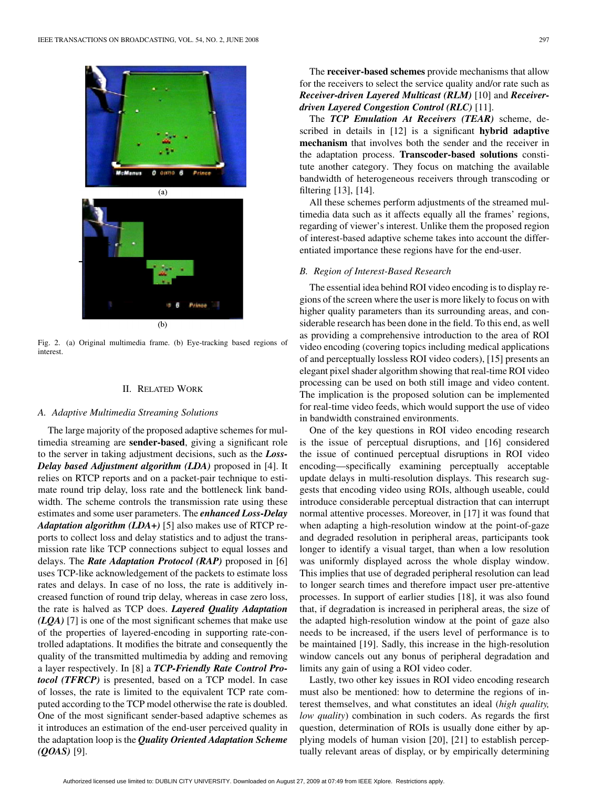

Fig. 2. (a) Original multimedia frame. (b) Eye-tracking based regions of interest.

# II. RELATED WORK

#### *A. Adaptive Multimedia Streaming Solutions*

The large majority of the proposed adaptive schemes for multimedia streaming are **sender-based**, giving a significant role to the server in taking adjustment decisions, such as the *Loss-Delay based Adjustment algorithm (LDA)* proposed in [4]. It relies on RTCP reports and on a packet-pair technique to estimate round trip delay, loss rate and the bottleneck link bandwidth. The scheme controls the transmission rate using these estimates and some user parameters. The *enhanced Loss-Delay Adaptation algorithm (LDA+)* [5] also makes use of RTCP reports to collect loss and delay statistics and to adjust the transmission rate like TCP connections subject to equal losses and delays. The *Rate Adaptation Protocol (RAP)* proposed in [6] uses TCP-like acknowledgement of the packets to estimate loss rates and delays. In case of no loss, the rate is additively increased function of round trip delay, whereas in case zero loss, the rate is halved as TCP does. *Layered Quality Adaptation (LQA)* [7] is one of the most significant schemes that make use of the properties of layered-encoding in supporting rate-controlled adaptations. It modifies the bitrate and consequently the quality of the transmitted multimedia by adding and removing a layer respectively. In [8] a *TCP-Friendly Rate Control Protocol (TFRCP)* is presented, based on a TCP model. In case of losses, the rate is limited to the equivalent TCP rate computed according to the TCP model otherwise the rate is doubled. One of the most significant sender-based adaptive schemes as it introduces an estimation of the end-user perceived quality in the adaptation loop is the *Quality Oriented Adaptation Scheme (QOAS)* [9].

The **receiver-based schemes** provide mechanisms that allow for the receivers to select the service quality and/or rate such as *Receiver-driven Layered Multicast (RLM)* [10] and *Receiverdriven Layered Congestion Control (RLC)* [11].

The *TCP Emulation At Receivers (TEAR)* scheme, described in details in [12] is a significant **hybrid adaptive mechanism** that involves both the sender and the receiver in the adaptation process. **Transcoder-based solutions** constitute another category. They focus on matching the available bandwidth of heterogeneous receivers through transcoding or filtering [13], [14].

All these schemes perform adjustments of the streamed multimedia data such as it affects equally all the frames' regions, regarding of viewer's interest. Unlike them the proposed region of interest-based adaptive scheme takes into account the differentiated importance these regions have for the end-user.

#### *B. Region of Interest-Based Research*

The essential idea behind ROI video encoding is to display regions of the screen where the user is more likely to focus on with higher quality parameters than its surrounding areas, and considerable research has been done in the field. To this end, as well as providing a comprehensive introduction to the area of ROI video encoding (covering topics including medical applications of and perceptually lossless ROI video coders), [15] presents an elegant pixel shader algorithm showing that real-time ROI video processing can be used on both still image and video content. The implication is the proposed solution can be implemented for real-time video feeds, which would support the use of video in bandwidth constrained environments.

One of the key questions in ROI video encoding research is the issue of perceptual disruptions, and [16] considered the issue of continued perceptual disruptions in ROI video encoding—specifically examining perceptually acceptable update delays in multi-resolution displays. This research suggests that encoding video using ROIs, although useable, could introduce considerable perceptual distraction that can interrupt normal attentive processes. Moreover, in [17] it was found that when adapting a high-resolution window at the point-of-gaze and degraded resolution in peripheral areas, participants took longer to identify a visual target, than when a low resolution was uniformly displayed across the whole display window. This implies that use of degraded peripheral resolution can lead to longer search times and therefore impact user pre-attentive processes. In support of earlier studies [18], it was also found that, if degradation is increased in peripheral areas, the size of the adapted high-resolution window at the point of gaze also needs to be increased, if the users level of performance is to be maintained [19]. Sadly, this increase in the high-resolution window cancels out any bonus of peripheral degradation and limits any gain of using a ROI video coder.

Lastly, two other key issues in ROI video encoding research must also be mentioned: how to determine the regions of interest themselves, and what constitutes an ideal (*high quality, low quality*) combination in such coders. As regards the first question, determination of ROIs is usually done either by applying models of human vision [20], [21] to establish perceptually relevant areas of display, or by empirically determining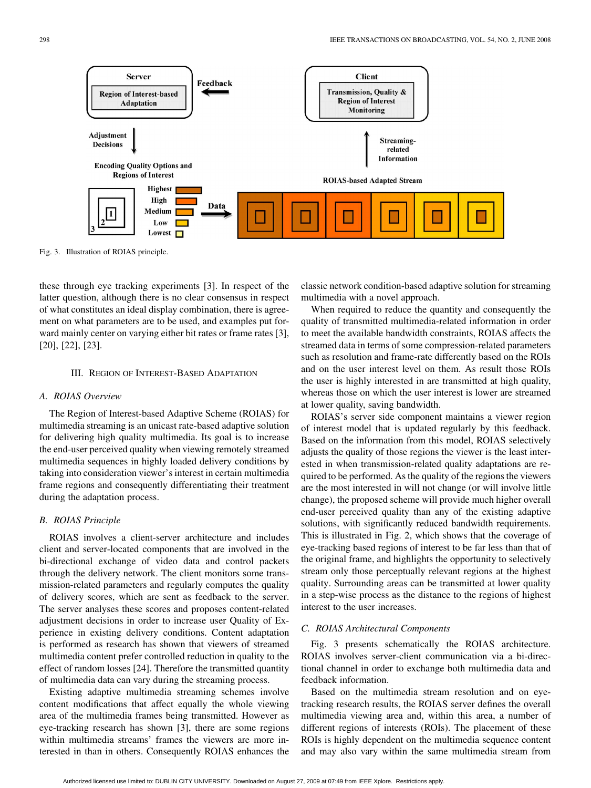

Fig. 3. Illustration of ROIAS principle.

these through eye tracking experiments [3]. In respect of the latter question, although there is no clear consensus in respect of what constitutes an ideal display combination, there is agreement on what parameters are to be used, and examples put forward mainly center on varying either bit rates or frame rates [3], [20], [22], [23].

## III. REGION OF INTEREST-BASED ADAPTATION

## *A. ROIAS Overview*

The Region of Interest-based Adaptive Scheme (ROIAS) for multimedia streaming is an unicast rate-based adaptive solution for delivering high quality multimedia. Its goal is to increase the end-user perceived quality when viewing remotely streamed multimedia sequences in highly loaded delivery conditions by taking into consideration viewer's interest in certain multimedia frame regions and consequently differentiating their treatment during the adaptation process.

# *B. ROIAS Principle*

ROIAS involves a client-server architecture and includes client and server-located components that are involved in the bi-directional exchange of video data and control packets through the delivery network. The client monitors some transmission-related parameters and regularly computes the quality of delivery scores, which are sent as feedback to the server. The server analyses these scores and proposes content-related adjustment decisions in order to increase user Quality of Experience in existing delivery conditions. Content adaptation is performed as research has shown that viewers of streamed multimedia content prefer controlled reduction in quality to the effect of random losses [24]. Therefore the transmitted quantity of multimedia data can vary during the streaming process.

Existing adaptive multimedia streaming schemes involve content modifications that affect equally the whole viewing area of the multimedia frames being transmitted. However as eye-tracking research has shown [3], there are some regions within multimedia streams' frames the viewers are more interested in than in others. Consequently ROIAS enhances the classic network condition-based adaptive solution for streaming multimedia with a novel approach.

When required to reduce the quantity and consequently the quality of transmitted multimedia-related information in order to meet the available bandwidth constraints, ROIAS affects the streamed data in terms of some compression-related parameters such as resolution and frame-rate differently based on the ROIs and on the user interest level on them. As result those ROIs the user is highly interested in are transmitted at high quality, whereas those on which the user interest is lower are streamed at lower quality, saving bandwidth.

ROIAS's server side component maintains a viewer region of interest model that is updated regularly by this feedback. Based on the information from this model, ROIAS selectively adjusts the quality of those regions the viewer is the least interested in when transmission-related quality adaptations are required to be performed. As the quality of the regions the viewers are the most interested in will not change (or will involve little change), the proposed scheme will provide much higher overall end-user perceived quality than any of the existing adaptive solutions, with significantly reduced bandwidth requirements. This is illustrated in Fig. 2, which shows that the coverage of eye-tracking based regions of interest to be far less than that of the original frame, and highlights the opportunity to selectively stream only those perceptually relevant regions at the highest quality. Surrounding areas can be transmitted at lower quality in a step-wise process as the distance to the regions of highest interest to the user increases.

## *C. ROIAS Architectural Components*

Fig. 3 presents schematically the ROIAS architecture. ROIAS involves server-client communication via a bi-directional channel in order to exchange both multimedia data and feedback information.

Based on the multimedia stream resolution and on eyetracking research results, the ROIAS server defines the overall multimedia viewing area and, within this area, a number of different regions of interests (ROIs). The placement of these ROIs is highly dependent on the multimedia sequence content and may also vary within the same multimedia stream from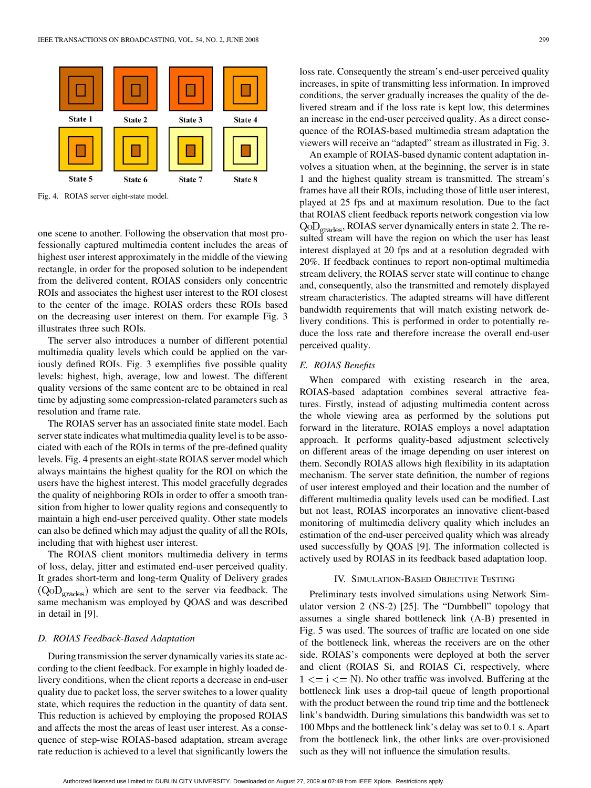

Fig. 4. ROIAS server eight-state model.

one scene to another. Following the observation that most professionally captured multimedia content includes the areas of highest user interest approximately in the middle of the viewing rectangle, in order for the proposed solution to be independent from the delivered content, ROIAS considers only concentric ROIs and associates the highest user interest to the ROI closest to the center of the image. ROIAS orders these ROIs based on the decreasing user interest on them. For example Fig. 3 illustrates three such ROIs.

The server also introduces a number of different potential multimedia quality levels which could be applied on the variously defined ROIs. Fig. 3 exemplifies five possible quality levels: highest, high, average, low and lowest. The different quality versions of the same content are to be obtained in real time by adjusting some compression-related parameters such as resolution and frame rate.

The ROIAS server has an associated finite state model. Each server state indicates what multimedia quality level is to be associated with each of the ROIs in terms of the pre-defined quality levels. Fig. 4 presents an eight-state ROIAS server model which always maintains the highest quality for the ROI on which the users have the highest interest. This model gracefully degrades the quality of neighboring ROIs in order to offer a smooth transition from higher to lower quality regions and consequently to maintain a high end-user perceived quality. Other state models can also be defined which may adjust the quality of all the ROIs, including that with highest user interest.

The ROIAS client monitors multimedia delivery in terms of loss, delay, jitter and estimated end-user perceived quality. It grades short-term and long-term Quality of Delivery grades  $\text{(\text{QoD}_{grades})}$  which are sent to the server via feedback. The same mechanism was employed by QOAS and was described in detail in [9].

## *D. ROIAS Feedback-Based Adaptation*

During transmission the server dynamically varies its state according to the client feedback. For example in highly loaded delivery conditions, when the client reports a decrease in end-user quality due to packet loss, the server switches to a lower quality state, which requires the reduction in the quantity of data sent. This reduction is achieved by employing the proposed ROIAS and affects the most the areas of least user interest. As a consequence of step-wise ROIAS-based adaptation, stream average rate reduction is achieved to a level that significantly lowers the loss rate. Consequently the stream's end-user perceived quality increases, in spite of transmitting less information. In improved conditions, the server gradually increases the quality of the delivered stream and if the loss rate is kept low, this determines an increase in the end-user perceived quality. As a direct consequence of the ROIAS-based multimedia stream adaptation the viewers will receive an "adapted" stream as illustrated in Fig. 3.

An example of ROIAS-based dynamic content adaptation involves a situation when, at the beginning, the server is in state 1 and the highest quality stream is transmitted. The stream's frames have all their ROIs, including those of little user interest, played at 25 fps and at maximum resolution. Due to the fact that ROIAS client feedback reports network congestion via low  $\text{QoD}_{\text{grades}}$ , ROIAS server dynamically enters in state 2. The resulted stream will have the region on which the user has least interest displayed at 20 fps and at a resolution degraded with 20%. If feedback continues to report non-optimal multimedia stream delivery, the ROIAS server state will continue to change and, consequently, also the transmitted and remotely displayed stream characteristics. The adapted streams will have different bandwidth requirements that will match existing network delivery conditions. This is performed in order to potentially reduce the loss rate and therefore increase the overall end-user perceived quality.

# *E. ROIAS Benefits*

When compared with existing research in the area, ROIAS-based adaptation combines several attractive features. Firstly, instead of adjusting multimedia content across the whole viewing area as performed by the solutions put forward in the literature, ROIAS employs a novel adaptation approach. It performs quality-based adjustment selectively on different areas of the image depending on user interest on them. Secondly ROIAS allows high flexibility in its adaptation mechanism. The server state definition, the number of regions of user interest employed and their location and the number of different multimedia quality levels used can be modified. Last but not least, ROIAS incorporates an innovative client-based monitoring of multimedia delivery quality which includes an estimation of the end-user perceived quality which was already used successfully by QOAS [9]. The information collected is actively used by ROIAS in its feedback based adaptation loop.

## IV. SIMULATION-BASED OBJECTIVE TESTING

Preliminary tests involved simulations using Network Simulator version 2 (NS-2) [25]. The "Dumbbell" topology that assumes a single shared bottleneck link (A-B) presented in Fig. 5 was used. The sources of traffic are located on one side of the bottleneck link, whereas the receivers are on the other side. ROIAS's components were deployed at both the server and client (ROIAS Si, and ROIAS Ci, respectively, where  $1 \le i \le N$ ). No other traffic was involved. Buffering at the bottleneck link uses a drop-tail queue of length proportional with the product between the round trip time and the bottleneck link's bandwidth. During simulations this bandwidth was set to 100 Mbps and the bottleneck link's delay was set to 0.1 s. Apart from the bottleneck link, the other links are over-provisioned such as they will not influence the simulation results.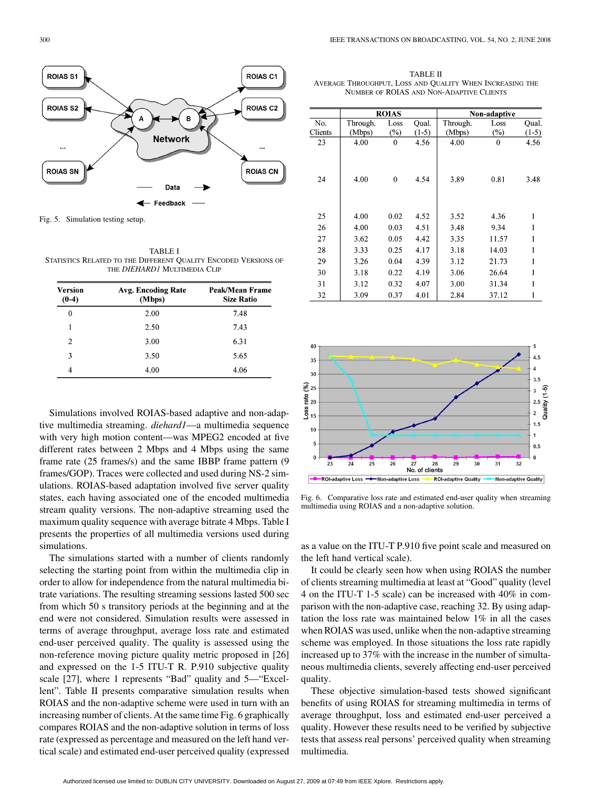

Fig. 5. Simulation testing setup.

TABLE I STATISTICS RELATED TO THE DIFFERENT QUALITY ENCODED VERSIONS OF THE *DIEHARD1* MULTIMEDIA CLIP

| <b>Version</b><br>$(0-4)$ | Avg. Encoding Rate<br>(Mbps) | Peak/Mean Frame<br><b>Size Ratio</b> |  |  |
|---------------------------|------------------------------|--------------------------------------|--|--|
| 0                         | 2.00                         | 7.48                                 |  |  |
|                           | 2.50                         | 7.43                                 |  |  |
| 2                         | 3.00                         | 6.31                                 |  |  |
| 3                         | 3.50                         | 5.65                                 |  |  |
| 4                         | 4.00                         | 4.06                                 |  |  |

Simulations involved ROIAS-based adaptive and non-adaptive multimedia streaming. *diehard1*—a multimedia sequence with very high motion content—was MPEG2 encoded at five different rates between 2 Mbps and 4 Mbps using the same frame rate (25 frames/s) and the same IBBP frame pattern (9 frames/GOP). Traces were collected and used during NS-2 simulations. ROIAS-based adaptation involved five server quality states, each having associated one of the encoded multimedia stream quality versions. The non-adaptive streaming used the maximum quality sequence with average bitrate 4 Mbps. Table I presents the properties of all multimedia versions used during simulations.

The simulations started with a number of clients randomly selecting the starting point from within the multimedia clip in order to allow for independence from the natural multimedia bitrate variations. The resulting streaming sessions lasted 500 sec from which 50 s transitory periods at the beginning and at the end were not considered. Simulation results were assessed in terms of average throughput, average loss rate and estimated end-user perceived quality. The quality is assessed using the non-reference moving picture quality metric proposed in [26] and expressed on the 1-5 ITU-T R. P.910 subjective quality scale [27], where 1 represents "Bad" quality and 5—"Excellent". Table II presents comparative simulation results when ROIAS and the non-adaptive scheme were used in turn with an increasing number of clients. At the same time Fig. 6 graphically compares ROIAS and the non-adaptive solution in terms of loss rate (expressed as percentage and measured on the left hand vertical scale) and estimated end-user perceived quality (expressed

TABLE II AVERAGE THROUGHPUT, LOSS AND QUALITY WHEN INCREASING THE NUMBER OF ROIAS AND NON-ADAPTIVE CLIENTS

|         |          | <b>ROIAS</b> |         | Non-adaptive |        |         |  |
|---------|----------|--------------|---------|--------------|--------|---------|--|
| No.     | Through. | Loss         | Qual.   | Through.     | Loss   | Qual.   |  |
| Clients | (Mbps)   | $(\%)$       | $(1-5)$ | (Mbps)       | $(\%)$ | $(1-5)$ |  |
| 23      | 4.00     | 0            | 4.56    | 4.00         | 0      | 4.56    |  |
| 24      | 4.00     | $\Omega$     | 4.54    | 3.89         | 0.81   | 3.48    |  |
| 25      | 4.00     | 0.02         | 4.52    | 3.52         | 4.36   | 1       |  |
| 26      | 4.00     | 0.03         | 4.51    | 3.48         | 9.34   | 1       |  |
| 27      | 3.62     | 0.05         | 4.42    | 3.35         | 11.57  | 1       |  |
| 28      | 3.33     | 0.25         | 4.17    | 3.18         | 14.03  | 1       |  |
| 29      | 3.26     | 0.04         | 4.39    | 3.12         | 21.73  | 1       |  |
| 30      | 3.18     | 0.22         | 4.19    | 3.06         | 26.64  | 1       |  |
| 31      | 3.12     | 0.32         | 4.07    | 3.00         | 31.34  | 1       |  |
| 32      | 3.09     | 0.37         | 4.01    | 2.84         | 37.12  | 1       |  |



Fig. 6. Comparative loss rate and estimated end-user quality when streaming multimedia using ROIAS and a non-adaptive solution.

as a value on the ITU-T P.910 five point scale and measured on the left hand vertical scale).

It could be clearly seen how when using ROIAS the number of clients streaming multimedia at least at "Good" quality (level 4 on the ITU-T 1-5 scale) can be increased with 40% in comparison with the non-adaptive case, reaching 32. By using adaptation the loss rate was maintained below 1% in all the cases when ROIAS was used, unlike when the non-adaptive streaming scheme was employed. In those situations the loss rate rapidly increased up to 37% with the increase in the number of simultaneous multimedia clients, severely affecting end-user perceived quality.

These objective simulation-based tests showed significant benefits of using ROIAS for streaming multimedia in terms of average throughput, loss and estimated end-user perceived a quality. However these results need to be verified by subjective tests that assess real persons' perceived quality when streaming multimedia.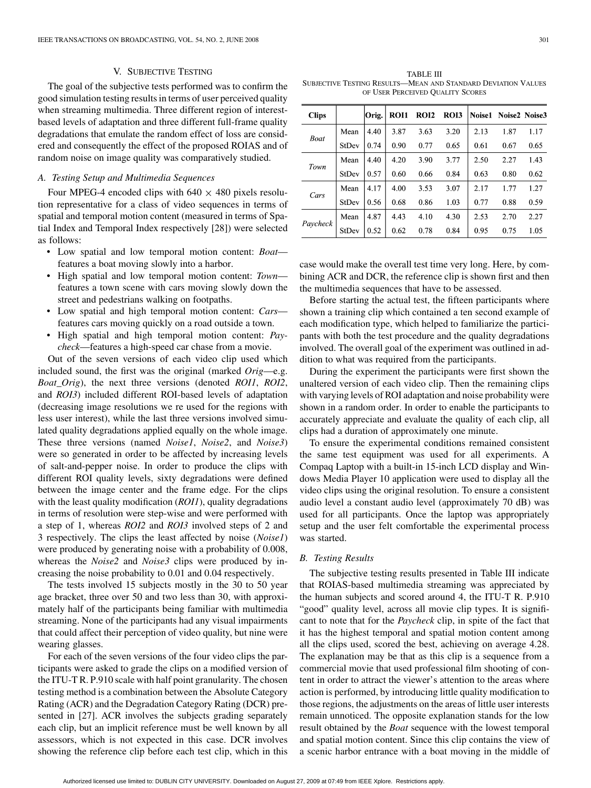## V. SUBJECTIVE TESTING

The goal of the subjective tests performed was to confirm the good simulation testing results in terms of user perceived quality when streaming multimedia. Three different region of interestbased levels of adaptation and three different full-frame quality degradations that emulate the random effect of loss are considered and consequently the effect of the proposed ROIAS and of random noise on image quality was comparatively studied.

#### *A. Testing Setup and Multimedia Sequences*

Four MPEG-4 encoded clips with  $640 \times 480$  pixels resolution representative for a class of video sequences in terms of spatial and temporal motion content (measured in terms of Spatial Index and Temporal Index respectively [28]) were selected as follows:

- Low spatial and low temporal motion content: *Boat* features a boat moving slowly into a harbor.
- High spatial and low temporal motion content: *Town* features a town scene with cars moving slowly down the street and pedestrians walking on footpaths.
- Low spatial and high temporal motion content: *Cars* features cars moving quickly on a road outside a town.
- High spatial and high temporal motion content: *Paycheck*—features a high-speed car chase from a movie.

Out of the seven versions of each video clip used which included sound, the first was the original (marked *Orig*—e.g. *Boat\_Orig*), the next three versions (denoted *ROI1*, *ROI2*, and *ROI3*) included different ROI-based levels of adaptation (decreasing image resolutions we re used for the regions with less user interest), while the last three versions involved simulated quality degradations applied equally on the whole image. These three versions (named *Noise1*, *Noise2*, and *Noise3*) were so generated in order to be affected by increasing levels of salt-and-pepper noise. In order to produce the clips with different ROI quality levels, sixty degradations were defined between the image center and the frame edge. For the clips with the least quality modification (*ROI1*), quality degradations in terms of resolution were step-wise and were performed with a step of 1, whereas *ROI2* and *ROI3* involved steps of 2 and 3 respectively. The clips the least affected by noise (*Noise1*) were produced by generating noise with a probability of 0.008, whereas the *Noise2* and *Noise3* clips were produced by increasing the noise probability to 0.01 and 0.04 respectively.

The tests involved 15 subjects mostly in the 30 to 50 year age bracket, three over 50 and two less than 30, with approximately half of the participants being familiar with multimedia streaming. None of the participants had any visual impairments that could affect their perception of video quality, but nine were wearing glasses.

For each of the seven versions of the four video clips the participants were asked to grade the clips on a modified version of the ITU-T R. P.910 scale with half point granularity. The chosen testing method is a combination between the Absolute Category Rating (ACR) and the Degradation Category Rating (DCR) presented in [27]. ACR involves the subjects grading separately each clip, but an implicit reference must be well known by all assessors, which is not expected in this case. DCR involves showing the reference clip before each test clip, which in this

TABLE III SUBJECTIVE TESTING RESULTS—MEAN AND STANDARD DEVIATION VALUES OF USER PERCEIVED QUALITY SCORES

| <b>Clips</b> |       | Orig. | <b>ROI1</b> | <b>ROI2</b> | <b>ROI3</b> | Noise1 |      | Noise2 Noise3 |
|--------------|-------|-------|-------------|-------------|-------------|--------|------|---------------|
| <b>Boat</b>  | Mean  | 4.40  | 3.87        | 3.63        | 3.20        | 2.13   | 1.87 | 1.17          |
|              | StDev | 0.74  | 0.90        | 0.77        | 0.65        | 0.61   | 0.67 | 0.65          |
| Town         | Mean  | 4.40  | 4.20        | 3.90        | 3.77        | 2.50   | 2.27 | 1.43          |
|              | StDev | 0.57  | 0.60        | 0.66        | 0.84        | 0.63   | 0.80 | 0.62          |
| Cars         | Mean  | 4.17  | 4.00        | 3.53        | 3.07        | 2.17   | 1.77 | 1.27          |
|              | StDev | 0.56  | 0.68        | 0.86        | 1.03        | 0.77   | 0.88 | 0.59          |
| Paycheck     | Mean  | 4.87  | 4.43        | 4.10        | 4.30        | 2.53   | 2.70 | 2.27          |
|              | StDev | 0.52  | 0.62        | 0.78        | 0.84        | 0.95   | 0.75 | 1.05          |

case would make the overall test time very long. Here, by combining ACR and DCR, the reference clip is shown first and then the multimedia sequences that have to be assessed.

Before starting the actual test, the fifteen participants where shown a training clip which contained a ten second example of each modification type, which helped to familiarize the participants with both the test procedure and the quality degradations involved. The overall goal of the experiment was outlined in addition to what was required from the participants.

During the experiment the participants were first shown the unaltered version of each video clip. Then the remaining clips with varying levels of ROI adaptation and noise probability were shown in a random order. In order to enable the participants to accurately appreciate and evaluate the quality of each clip, all clips had a duration of approximately one minute.

To ensure the experimental conditions remained consistent the same test equipment was used for all experiments. A Compaq Laptop with a built-in 15-inch LCD display and Windows Media Player 10 application were used to display all the video clips using the original resolution. To ensure a consistent audio level a constant audio level (approximately 70 dB) was used for all participants. Once the laptop was appropriately setup and the user felt comfortable the experimental process was started.

#### *B. Testing Results*

The subjective testing results presented in Table III indicate that ROIAS-based multimedia streaming was appreciated by the human subjects and scored around 4, the ITU-T R. P.910 "good" quality level, across all movie clip types. It is significant to note that for the *Paycheck* clip, in spite of the fact that it has the highest temporal and spatial motion content among all the clips used, scored the best, achieving on average 4.28. The explanation may be that as this clip is a sequence from a commercial movie that used professional film shooting of content in order to attract the viewer's attention to the areas where action is performed, by introducing little quality modification to those regions, the adjustments on the areas of little user interests remain unnoticed. The opposite explanation stands for the low result obtained by the *Boat* sequence with the lowest temporal and spatial motion content. Since this clip contains the view of a scenic harbor entrance with a boat moving in the middle of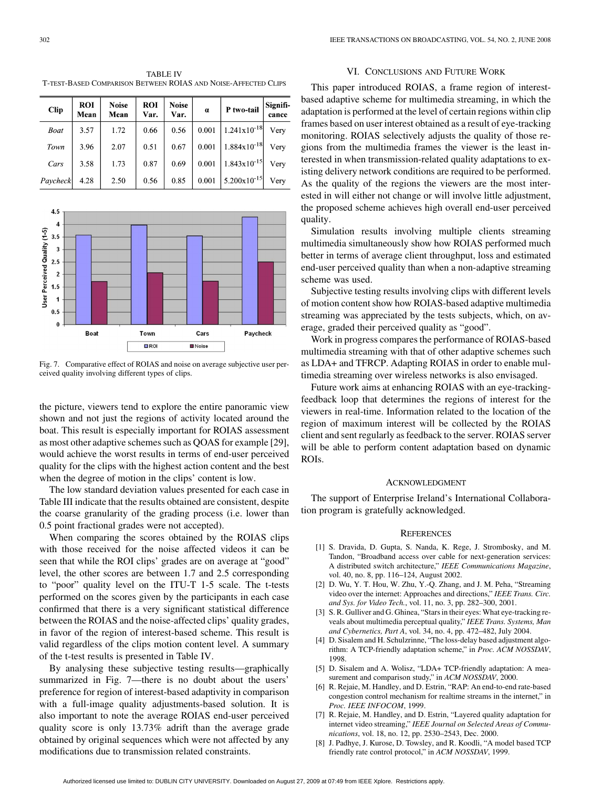TABLE IV T-TEST-BASED COMPARISON BETWEEN ROIAS AND NOISE-AFFECTED CLIPS

| <b>Clip</b> | <b>ROI</b><br>Mean | <b>Noise</b><br>Mean | <b>ROI</b><br>Var. | <b>Noise</b><br>Var. | $\alpha$ | P two-tail              | Signifi-<br>cance |
|-------------|--------------------|----------------------|--------------------|----------------------|----------|-------------------------|-------------------|
| Boat        | 3.57               | 1.72                 | 0.66               | 0.56                 | 0.001    | $1.241x10^{-18}$        | Very              |
| Town        | 3.96               | 2.07                 | 0.51               | 0.67                 | 0.001    | $1.884 \times 10^{-18}$ | Very              |
| Cars        | 3.58               | 1.73                 | 0.87               | 0.69                 | 0.001    | $1.843 \times 10^{-15}$ | Very              |
| Paycheck    | 4.28               | 2.50                 | 0.56               | 0.85                 | 0.001    | $5.200 \times 10^{-15}$ | Very              |



Fig. 7. Comparative effect of ROIAS and noise on average subjective user perceived quality involving different types of clips.

the picture, viewers tend to explore the entire panoramic view shown and not just the regions of activity located around the boat. This result is especially important for ROIAS assessment as most other adaptive schemes such as QOAS for example [29], would achieve the worst results in terms of end-user perceived quality for the clips with the highest action content and the best when the degree of motion in the clips' content is low.

The low standard deviation values presented for each case in Table III indicate that the results obtained are consistent, despite the coarse granularity of the grading process (i.e. lower than 0.5 point fractional grades were not accepted).

When comparing the scores obtained by the ROIAS clips with those received for the noise affected videos it can be seen that while the ROI clips' grades are on average at "good" level, the other scores are between 1.7 and 2.5 corresponding to "poor" quality level on the ITU-T 1-5 scale. The t-tests performed on the scores given by the participants in each case confirmed that there is a very significant statistical difference between the ROIAS and the noise-affected clips' quality grades, in favor of the region of interest-based scheme. This result is valid regardless of the clips motion content level. A summary of the t-test results is presented in Table IV.

By analysing these subjective testing results—graphically summarized in Fig. 7—there is no doubt about the users' preference for region of interest-based adaptivity in comparison with a full-image quality adjustments-based solution. It is also important to note the average ROIAS end-user perceived quality score is only 13.73% adrift than the average grade obtained by original sequences which were not affected by any modifications due to transmission related constraints.

## VI. CONCLUSIONS AND FUTURE WORK

This paper introduced ROIAS, a frame region of interestbased adaptive scheme for multimedia streaming, in which the adaptation is performed at the level of certain regions within clip frames based on user interest obtained as a result of eye-tracking monitoring. ROIAS selectively adjusts the quality of those regions from the multimedia frames the viewer is the least interested in when transmission-related quality adaptations to existing delivery network conditions are required to be performed. As the quality of the regions the viewers are the most interested in will either not change or will involve little adjustment, the proposed scheme achieves high overall end-user perceived quality.

Simulation results involving multiple clients streaming multimedia simultaneously show how ROIAS performed much better in terms of average client throughput, loss and estimated end-user perceived quality than when a non-adaptive streaming scheme was used.

Subjective testing results involving clips with different levels of motion content show how ROIAS-based adaptive multimedia streaming was appreciated by the tests subjects, which, on average, graded their perceived quality as "good".

Work in progress compares the performance of ROIAS-based multimedia streaming with that of other adaptive schemes such as LDA+ and TFRCP. Adapting ROIAS in order to enable multimedia streaming over wireless networks is also envisaged.

Future work aims at enhancing ROIAS with an eye-trackingfeedback loop that determines the regions of interest for the viewers in real-time. Information related to the location of the region of maximum interest will be collected by the ROIAS client and sent regularly as feedback to the server. ROIAS server will be able to perform content adaptation based on dynamic ROIs.

#### ACKNOWLEDGMENT

The support of Enterprise Ireland's International Collaboration program is gratefully acknowledged.

#### **REFERENCES**

- [1] S. Dravida, D. Gupta, S. Nanda, K. Rege, J. Strombosky, and M. Tandon, "Broadband access over cable for next-generation services: A distributed switch architecture," *IEEE Communications Magazine*, vol. 40, no. 8, pp. 116–124, August 2002.
- [2] D. Wu, Y. T. Hou, W. Zhu, Y.-Q. Zhang, and J. M. Peha, "Streaming video over the internet: Approaches and directions," *IEEE Trans. Circ. and Sys. for Video Tech.*, vol. 11, no. 3, pp. 282–300, 2001.
- [3] S. R. Gulliver and G. Ghinea, "Stars in their eyes: What eye-tracking reveals about multimedia perceptual quality," *IEEE Trans. Systems, Man and Cybernetics, Part A*, vol. 34, no. 4, pp. 472–482, July 2004.
- [4] D. Sisalem and H. Schulzrinne, "The loss-delay based adjustment algorithm: A TCP-friendly adaptation scheme," in *Proc. ACM NOSSDAV*, 1998.
- [5] D. Sisalem and A. Wolisz, "LDA+ TCP-friendly adaptation: A measurement and comparison study," in *ACM NOSSDAV*, 2000.
- [6] R. Rejaie, M. Handley, and D. Estrin, "RAP: An end-to-end rate-based congestion control mechanism for realtime streams in the internet," in *Proc. IEEE INFOCOM*, 1999.
- [7] R. Rejaie, M. Handley, and D. Estrin, "Layered quality adaptation for internet video streaming," *IEEE Journal on Selected Areas of Communications*, vol. 18, no. 12, pp. 2530–2543, Dec. 2000.
- [8] J. Padhye, J. Kurose, D. Towsley, and R. Koodli, "A model based TCP friendly rate control protocol," in *ACM NOSSDAV*, 1999.